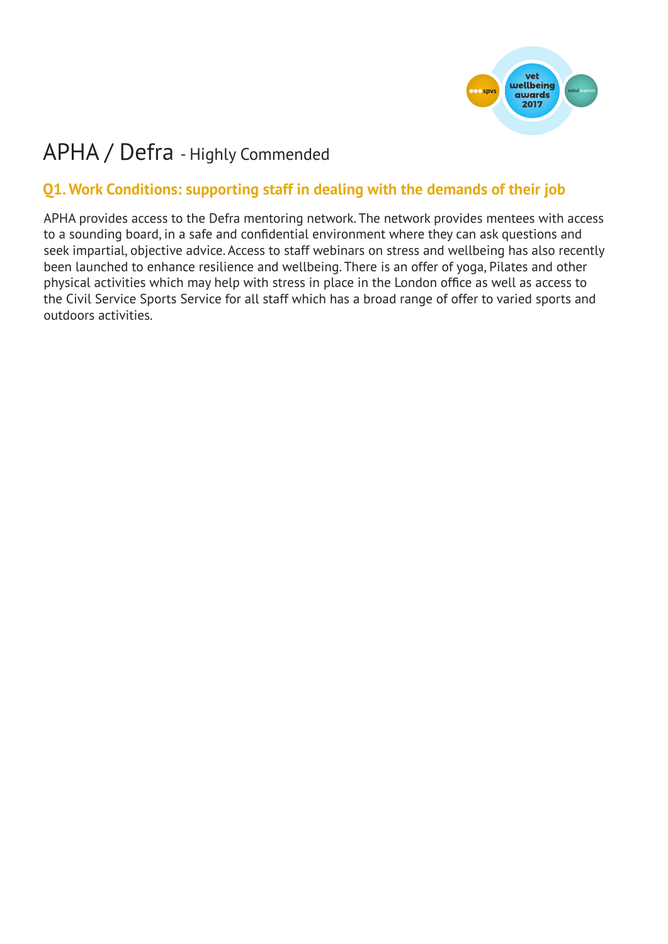

# APHA / Defra - Highly Commended

## **Q1. Work Conditions: supporting staff in dealing with the demands of their job**

APHA provides access to the Defra mentoring network. The network provides mentees with access to a sounding board, in a safe and confidential environment where they can ask questions and seek impartial, objective advice. Access to staff webinars on stress and wellbeing has also recently been launched to enhance resilience and wellbeing. There is an offer of yoga, Pilates and other physical activities which may help with stress in place in the London office as well as access to the Civil Service Sports Service for all staff which has a broad range of offer to varied sports and outdoors activities.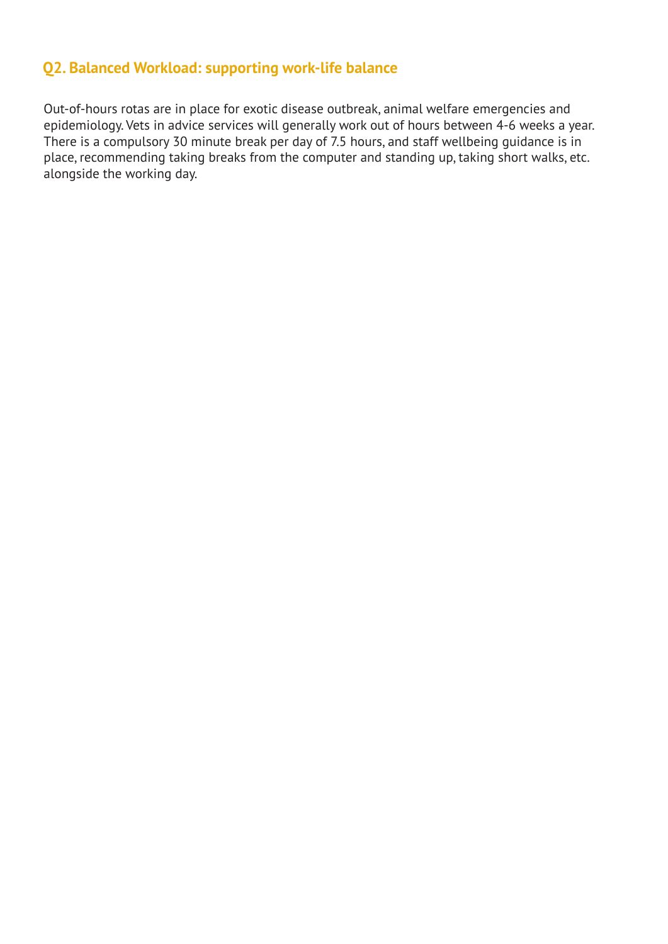#### **Q2. Balanced Workload: supporting work-life balance**

Out-of-hours rotas are in place for exotic disease outbreak, animal welfare emergencies and epidemiology. Vets in advice services will generally work out of hours between 4-6 weeks a year. There is a compulsory 30 minute break per day of 7.5 hours, and staff wellbeing guidance is in place, recommending taking breaks from the computer and standing up, taking short walks, etc. alongside the working day.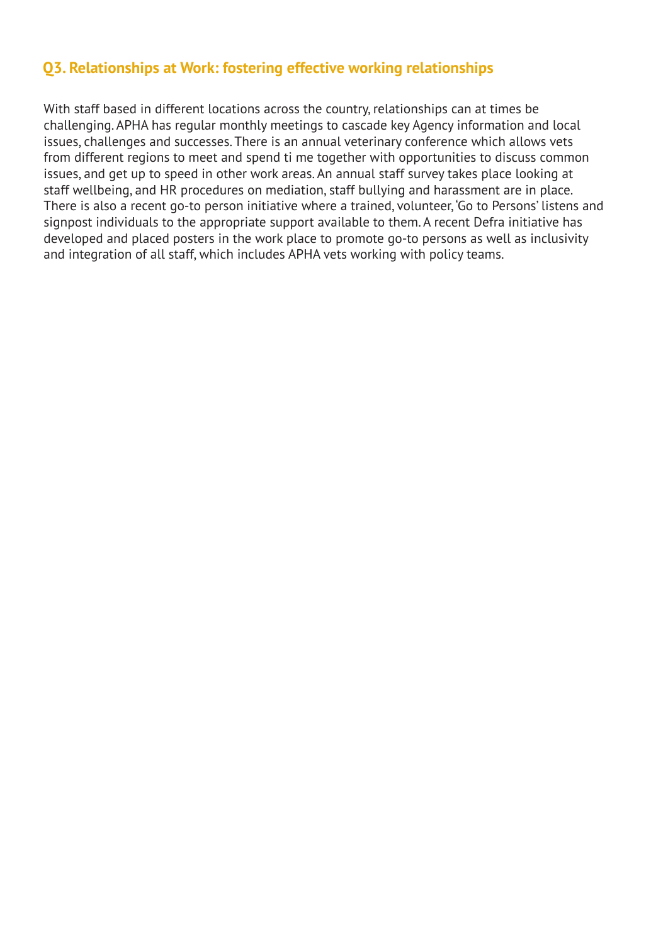#### **Q3. Relationships at Work: fostering effective working relationships**

With staff based in different locations across the country, relationships can at times be challenging. APHA has regular monthly meetings to cascade key Agency information and local issues, challenges and successes. There is an annual veterinary conference which allows vets from different regions to meet and spend ti me together with opportunities to discuss common issues, and get up to speed in other work areas. An annual staff survey takes place looking at staff wellbeing, and HR procedures on mediation, staff bullying and harassment are in place. There is also a recent go-to person initiative where a trained, volunteer, 'Go to Persons' listens and signpost individuals to the appropriate support available to them. A recent Defra initiative has developed and placed posters in the work place to promote go-to persons as well as inclusivity and integration of all staff, which includes APHA vets working with policy teams.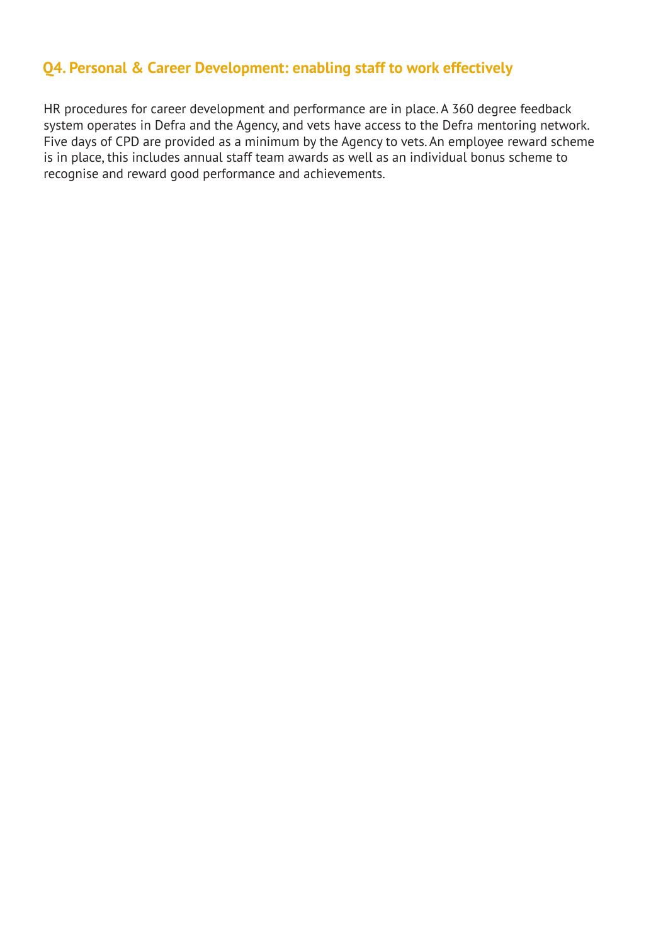## **Q4. Personal & Career Development: enabling staff to work effectively**

HR procedures for career development and performance are in place. A 360 degree feedback system operates in Defra and the Agency, and vets have access to the Defra mentoring network. Five days of CPD are provided as a minimum by the Agency to vets. An employee reward scheme is in place, this includes annual staff team awards as well as an individual bonus scheme to recognise and reward good performance and achievements.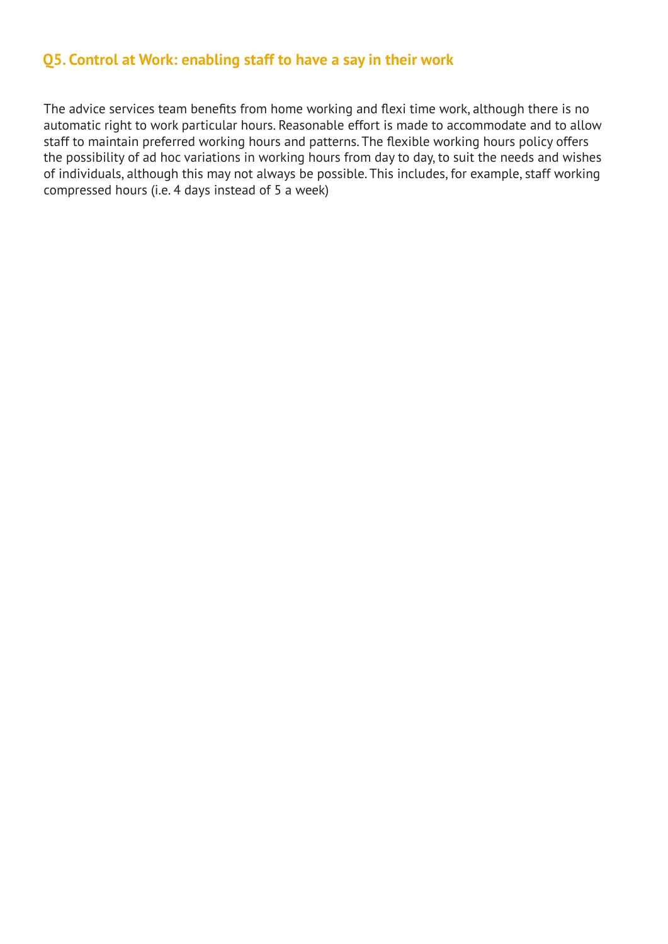#### **Q5. Control at Work: enabling staff to have a say in their work**

The advice services team benefits from home working and flexi time work, although there is no automatic right to work particular hours. Reasonable effort is made to accommodate and to allow staff to maintain preferred working hours and patterns. The flexible working hours policy offers the possibility of ad hoc variations in working hours from day to day, to suit the needs and wishes of individuals, although this may not always be possible. This includes, for example, staff working compressed hours (i.e. 4 days instead of 5 a week)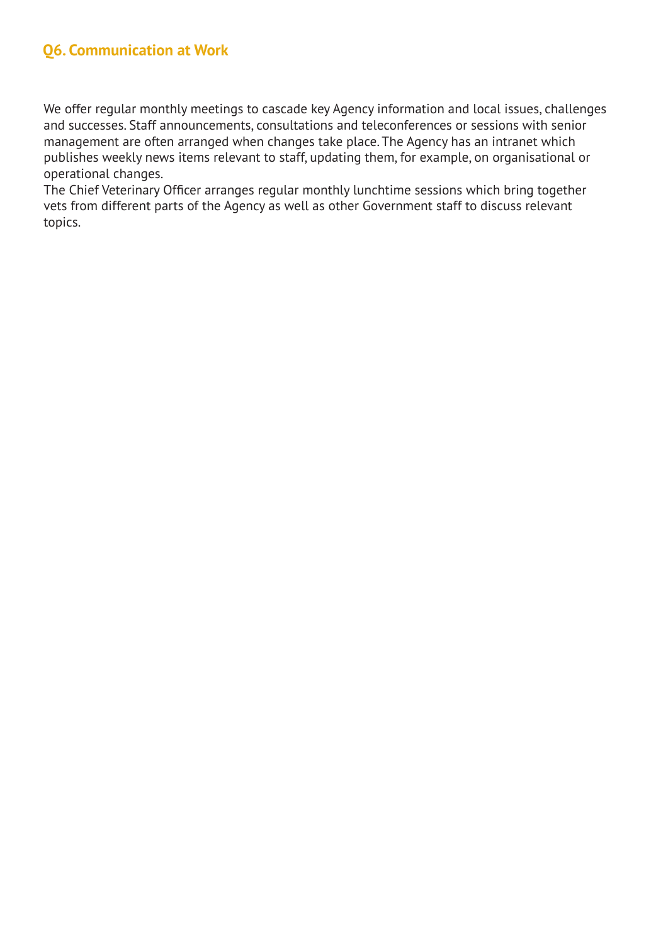## **Q6. Communication at Work**

We offer regular monthly meetings to cascade key Agency information and local issues, challenges and successes. Staff announcements, consultations and teleconferences or sessions with senior management are often arranged when changes take place. The Agency has an intranet which publishes weekly news items relevant to staff, updating them, for example, on organisational or operational changes.

The Chief Veterinary Officer arranges regular monthly lunchtime sessions which bring together vets from different parts of the Agency as well as other Government staff to discuss relevant topics.